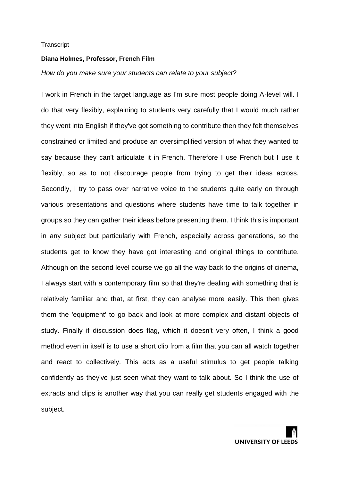#### **Diana Holmes, Professor, French Film**

## *How do you make sure your students can relate to your subject?*

I work in French in the target language as I'm sure most people doing A-level will. I do that very flexibly, explaining to students very carefully that I would much rather they went into English if they've got something to contribute then they felt themselves constrained or limited and produce an oversimplified version of what they wanted to say because they can't articulate it in French. Therefore I use French but I use it flexibly, so as to not discourage people from trying to get their ideas across. Secondly, I try to pass over narrative voice to the students quite early on through various presentations and questions where students have time to talk together in groups so they can gather their ideas before presenting them. I think this is important in any subject but particularly with French, especially across generations, so the students get to know they have got interesting and original things to contribute. Although on the second level course we go all the way back to the origins of cinema, I always start with a contemporary film so that they're dealing with something that is relatively familiar and that, at first, they can analyse more easily. This then gives them the 'equipment' to go back and look at more complex and distant objects of study. Finally if discussion does flag, which it doesn't very often, I think a good method even in itself is to use a short clip from a film that you can all watch together and react to collectively. This acts as a useful stimulus to get people talking confidently as they've just seen what they want to talk about. So I think the use of extracts and clips is another way that you can really get students engaged with the subject.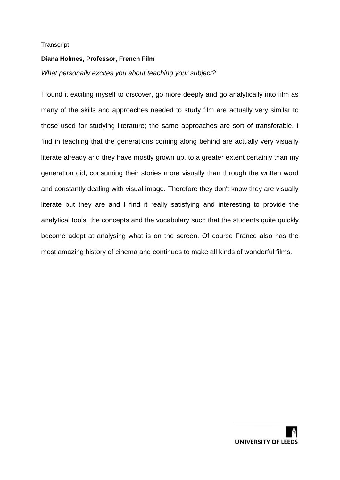## **Diana Holmes, Professor, French Film**

## *What personally excites you about teaching your subject?*

I found it exciting myself to discover, go more deeply and go analytically into film as many of the skills and approaches needed to study film are actually very similar to those used for studying literature; the same approaches are sort of transferable. I find in teaching that the generations coming along behind are actually very visually literate already and they have mostly grown up, to a greater extent certainly than my generation did, consuming their stories more visually than through the written word and constantly dealing with visual image. Therefore they don't know they are visually literate but they are and I find it really satisfying and interesting to provide the analytical tools, the concepts and the vocabulary such that the students quite quickly become adept at analysing what is on the screen. Of course France also has the most amazing history of cinema and continues to make all kinds of wonderful films.

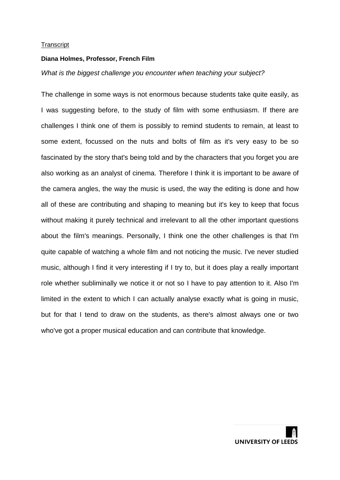#### **Diana Holmes, Professor, French Film**

## *What is the biggest challenge you encounter when teaching your subject?*

The challenge in some ways is not enormous because students take quite easily, as I was suggesting before, to the study of film with some enthusiasm. If there are challenges I think one of them is possibly to remind students to remain, at least to some extent, focussed on the nuts and bolts of film as it's very easy to be so fascinated by the story that's being told and by the characters that you forget you are also working as an analyst of cinema. Therefore I think it is important to be aware of the camera angles, the way the music is used, the way the editing is done and how all of these are contributing and shaping to meaning but it's key to keep that focus without making it purely technical and irrelevant to all the other important questions about the film's meanings. Personally, I think one the other challenges is that I'm quite capable of watching a whole film and not noticing the music. I've never studied music, although I find it very interesting if I try to, but it does play a really important role whether subliminally we notice it or not so I have to pay attention to it. Also I'm limited in the extent to which I can actually analyse exactly what is going in music, but for that I tend to draw on the students, as there's almost always one or two who've got a proper musical education and can contribute that knowledge.

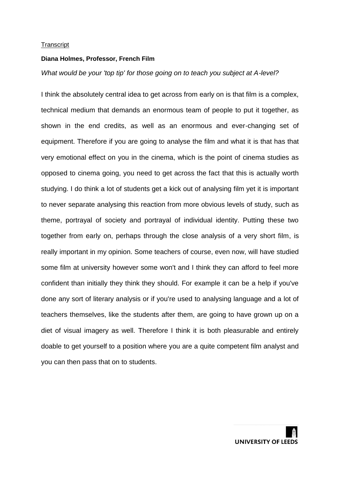#### **Diana Holmes, Professor, French Film**

## *What would be your 'top tip' for those going on to teach you subject at A-level?*

I think the absolutely central idea to get across from early on is that film is a complex, technical medium that demands an enormous team of people to put it together, as shown in the end credits, as well as an enormous and ever-changing set of equipment. Therefore if you are going to analyse the film and what it is that has that very emotional effect on you in the cinema, which is the point of cinema studies as opposed to cinema going, you need to get across the fact that this is actually worth studying. I do think a lot of students get a kick out of analysing film yet it is important to never separate analysing this reaction from more obvious levels of study, such as theme, portrayal of society and portrayal of individual identity. Putting these two together from early on, perhaps through the close analysis of a very short film, is really important in my opinion. Some teachers of course, even now, will have studied some film at university however some won't and I think they can afford to feel more confident than initially they think they should. For example it can be a help if you've done any sort of literary analysis or if you're used to analysing language and a lot of teachers themselves, like the students after them, are going to have grown up on a diet of visual imagery as well. Therefore I think it is both pleasurable and entirely doable to get yourself to a position where you are a quite competent film analyst and you can then pass that on to students.

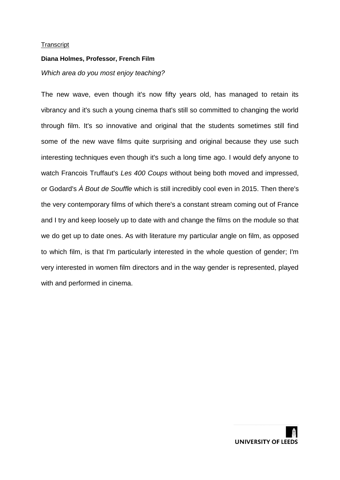## **Diana Holmes, Professor, French Film**

# *Which area do you most enjoy teaching?*

The new wave, even though it's now fifty years old, has managed to retain its vibrancy and it's such a young cinema that's still so committed to changing the world through film. It's so innovative and original that the students sometimes still find some of the new wave films quite surprising and original because they use such interesting techniques even though it's such a long time ago. I would defy anyone to watch Francois Truffaut's *Les 400 Coups* without being both moved and impressed, or Godard's *À Bout de Souffle* which is still incredibly cool even in 2015. Then there's the very contemporary films of which there's a constant stream coming out of France and I try and keep loosely up to date with and change the films on the module so that we do get up to date ones. As with literature my particular angle on film, as opposed to which film, is that I'm particularly interested in the whole question of gender; I'm very interested in women film directors and in the way gender is represented, played with and performed in cinema.

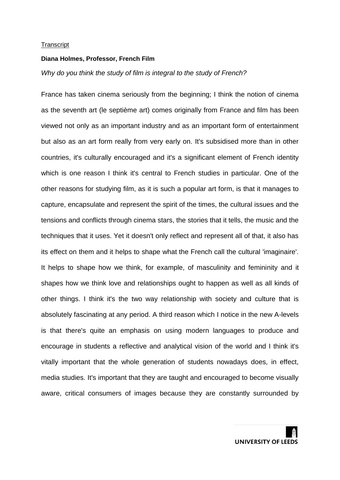#### **Diana Holmes, Professor, French Film**

## *Why do you think the study of film is integral to the study of French?*

France has taken cinema seriously from the beginning; I think the notion of cinema as the seventh art (le septième art) comes originally from France and film has been viewed not only as an important industry and as an important form of entertainment but also as an art form really from very early on. It's subsidised more than in other countries, it's culturally encouraged and it's a significant element of French identity which is one reason I think it's central to French studies in particular. One of the other reasons for studying film, as it is such a popular art form, is that it manages to capture, encapsulate and represent the spirit of the times, the cultural issues and the tensions and conflicts through cinema stars, the stories that it tells, the music and the techniques that it uses. Yet it doesn't only reflect and represent all of that, it also has its effect on them and it helps to shape what the French call the cultural 'imaginaire'. It helps to shape how we think, for example, of masculinity and femininity and it shapes how we think love and relationships ought to happen as well as all kinds of other things. I think it's the two way relationship with society and culture that is absolutely fascinating at any period. A third reason which I notice in the new A-levels is that there's quite an emphasis on using modern languages to produce and encourage in students a reflective and analytical vision of the world and I think it's vitally important that the whole generation of students nowadays does, in effect, media studies. It's important that they are taught and encouraged to become visually aware, critical consumers of images because they are constantly surrounded by